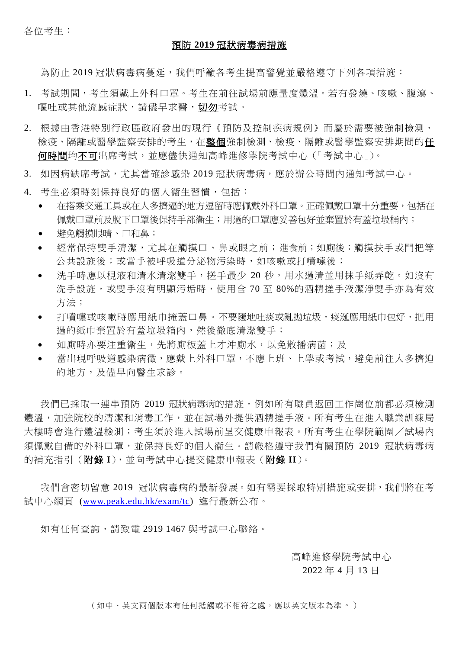各位考生:

#### 預防 **2019** 冠狀病毒病措施

為防止 2019 冠狀病毒病蔓延,我們呼籲各考生提高警覺並嚴格導守下列各項措施:

- 1. 考試期間,考生須戴上外科口罩。考生在前往試場前應量度體溫。若有發燒、咳嗽、腹瀉、 嘔吐或其他流感症狀,請儘早求醫,切勿考試。
- 2. 根據由香港特別行政區政府發出的現行《預防及控制疾病規例》而屬於需要被強制檢測、 檢疫、隔離或醫學監察安排的考生,在整個強制檢測、檢疫、隔離或醫學監察安排期間的任 何時間均不可出席考試,並應儘快通知高峰進修學院考試中心(「考試中心」)。
- 3. 如因病缺席考試,尤其當確診感染 2019 冠狀病毒病,應於辦公時間內通知考試中心。
- 4. 考生必須時刻保持良好的個人衞生習慣,包括:
	- 在搭乘交通工具或在人多擠逼的地方逗留時應佩戴外科口罩。正確佩戴口罩十分重要,包括在 佩戴口罩前及脫下口罩後保持手部衞生;用過的口罩應妥善包好並棄置於有蓋垃圾桶內;
	- 避免觸摸眼晴、口和鼻;
	- 經常保持雙手清潔,尤其在觸摸口、鼻或眼之前;進食前;如廁後;觸摸扶手或門把等 公共設施後;或當手被呼吸道分泌物污染時,如咳嗽或打噴嚏後;
	- 洗手時應以梘液和清水清潔雙手,搓手最少 20 秒,用水過清並用抹手紙弄乾。如沒有 洗手設施,或雙手沒有明顯污垢時,使用含 70 至 80%的酒精搓手液潔淨雙手亦為有效 方法;
	- 打噴嚏或咳嗽時應用紙巾掩蓋口鼻。不要隨地吐痰或亂拋垃圾,痰涎應用紙巾包好,把用 過的紙巾棄置於有蓋垃圾箱內,然後徹底清潔雙手;
	- 如廁時亦要注重衞生,先將廁板蓋上才沖廁水,以免散播病菌;及
	- 當出現呼吸道感染病徵,應戴上外科口罩,不應上班、上學或考試,避免前往人多擠迫 的地方,及儘早向醫生求診。

我們已採取一連串預防 2019 冠狀病毒病的措施,例如所有職員返回工作崗位前都必須檢測 體溫,加強院校的清潔和消毒工作,並在試場外提供酒精搓手液。所有考生在進入職業訓練局 大樓時會進行體溫檢測;考生須於進入試場前呈交健康申報表。所有考生在學院範圍/試場內 須佩戴自備的外科口罩,並保持良好的個人衞生。請嚴格遵守我們有關預防 2019 冠狀病毒病 的補充指引(附錄 **I**),並向考試中心提交健康申報表(附錄 **II**)。

我們會密切留意 2019 冠狀病毒病的最新發展。如有需要採取特別措施或安排,我們將在考 試中心網頁 [\(www.peak.edu.hk/exam/tc\)](http://www.peak.edu.hk/exam/tc) 進行最新公布。

如有任何查詢,請致電 2919 1467 與考試中心聯絡。

高峰進修學院考試中心

2022 年 4 月 13 日

(如中、英文兩個版本有任何抵觸或不相符之處,應以英文版本為準。)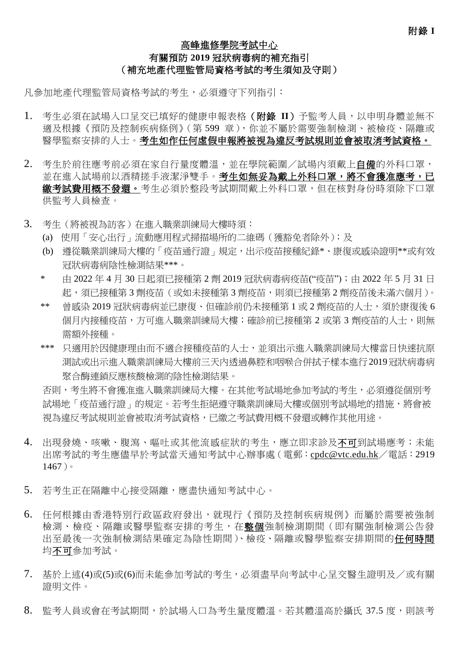# 高峰進修學院考試中心 有關預防 **2019** 冠狀病毒病的補充指引 (補充地產代理監管局資格考試的考生須知及守則)

凡參加地產代理監管局資格考試的考生,必須遵守下列指引:

- 1. 考生必須在試場入口呈交已填好的健康申報表格(附錄 **II**)予監考人員,以申明身體並無不 適及根據《預防及控制疾病條例》(第599章),你並不屬於需要強制檢測、被檢疫、隔離或 醫學監察安排的人士。考生如作任何虛假申報將被視為違反考試規則並會被取消考試資格。
- 2. 考生於前往應考前必須在家自行量度體溫,並在學院範圍/試場內須戴上自備的外科口罩, 並在進入試場前以酒精搓手液潔淨雙手。考生如無妥為戴上外科口罩,將不會獲准應考,已 繳考試費用概不發還。考生必須於整段考試期間戴上外科口罩,但在核對身份時須除下口罩 供監考人員檢查。
- 3. 考生(將被視為訪客)在進入職業訓練局大樓時須:
	- (a) 使用「安心出行」流動應用程式掃描場所的二維碼(獲豁免者除外);及
	- (b) 遵從職業訓練局大樓的「疫苗通行證」規定,出示疫苗接種紀錄\*、康復或感染證明\*\*或有效 冠狀病毒病陰性檢測結果\*\*\*。
	- \* 由 2022 年 4 月 30 日起須已接種第 2 劑 2019 冠狀病毒病疫苗("疫苗");由 2022 年 5 月 31 日 起,須已接種第 3 劑疫苗(或如未接種第 3 劑疫苗,則須已接種第 2 劑疫苗後未滿六個月)。
	- \*\* 曾感染 2019 冠狀病毒病並已康復、但確診前仍未接種第 1 或 2 劑疫苗的人士,須於康復後 6 個月內接種疫苗,方可進入職業訓練局大樓;確診前已接種第 2 或第 3 劑疫苗的人士,則無 需額外接種。
	- \*\*\* 只適用於因健康理由而不適合接種疫苗的人士,並須出示進入職業訓練局大樓當日快速抗原 測試或出示進入職業訓練局大樓前三天內透過鼻腔和咽喉合併拭子樣本進行2019冠狀病毒病 聚合酶連鎖反應核酸檢測的陰性檢測結果。

否則,考生將不會獲准進入職業訓練局大樓。在其他考試場地參加考試的考生,必須遵從個別考 試場地「疫苗通行證」的規定。若考生拒絕遵守職業訓練局大樓或個別考試場地的措施,將會被 視為違反考試規則並會被取消考試資格,已繳之考試費用概不發還或轉作其他用途。

- 4. 出現發燒、咳嗽、腹瀉、嘔吐或其他流感症狀的考生,應立即求診及不可到試場應考;未能 出席考試的考生應儘早於考試當天通知考試中心辦事處(電郵:[cpdc@vtc.edu.hk](mailto:cpdc@vtc.edu.hk)/電話:2919 1467)。
- 5. 若考生正在隔離中心接受隔離,應盡快通知考試中心。
- 6. 任何根據由香港特別行政區政府發出,就現行《預防及控制疾病規例》而屬於需要被強制 檢測、檢疫、隔離或醫學監察安排的考生,在整個強制檢測期間(即有關強制檢測公告發 出至最後一次強制檢測結果確定為陰性期間)、檢疫、隔離或醫學監察安排期間的任何時間 均不可參加考試。
- 7. 基於上述(4)或(5)或(6)而未能參加考試的考生,必須盡早向考試中心呈交醫生證明及/或有關 證明文件。
- 8. 監考人員或會在考試期間,於試場入口為考生量度體溫。若其體溫高於攝氏 37.5 度,則該考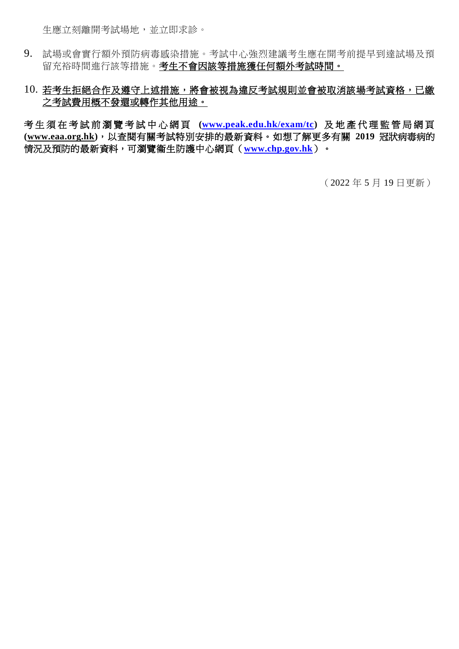生應立刻離開考試場地,並立即求診。

- 9. 試場或會實行額外預防病毒感染措施。考試中心強烈建議考生應在開考前提早到達試場及預 留充裕時間進行該等措施。考生不會因該等措施獲任何額外考試時間。
- 10. 若考生拒絕合作及遵守上述措施,將會被視為違反考試規則並會被取消該場考試資格,已繳 之考試費用概不發還或轉作其他用途。

考生須 在考試前 瀏 覽 考 試 中 心 網 頁 **[\(www.peak.edu.hk/exam/tc\)](http://www.peak.edu.hk/exam/tc)** 及 地 產 代 理 監 管 局 網 頁 **[\(www.eaa.org.hk\)](http://www.eaa.org.hk/)**,以查閱有關考試特別安排的最新資料。如想了解更多有關 **2019** 冠狀病毒病的 情況及預防的最新資料,可瀏覽衞生防護中心網頁(**[www.chp.gov.hk](http://www.chp.gov.hk/)**)。

(2022 年 5 月 19 日更新)